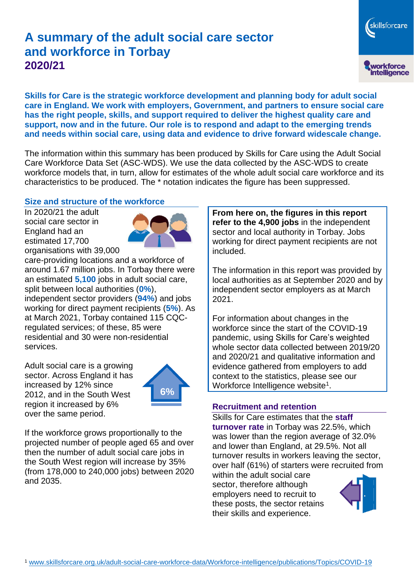# **A summary of the adult social care sector and workforce in Torbay 2020/21**

skillsforcare workforce<br>intelligence

**Skills for Care is the strategic workforce development and planning body for adult social care in England. We work with employers, Government, and partners to ensure social care has the right people, skills, and support required to deliver the highest quality care and support, now and in the future. Our role is to respond and adapt to the emerging trends and needs within social care, using data and evidence to drive forward widescale change.**

The information within this summary has been produced by Skills for Care using the Adult Social Care Workforce Data Set (ASC-WDS). We use the data collected by the ASC-WDS to create workforce models that, in turn, allow for estimates of the whole adult social care workforce and its characteristics to be produced. The \* notation indicates the figure has been suppressed.

#### **Size and structure of the workforce**

In 2020/21 the adult social care sector in England had an estimated 17,700 organisations with 39,000



care-providing locations and a workforce of around 1.67 million jobs. In Torbay there were an estimated **5,100** jobs in adult social care, split between local authorities (**0%**), independent sector providers (**94%**) and jobs working for direct payment recipients (**5%**). As at March 2021, Torbay contained 115 CQCregulated services; of these, 85 were residential and 30 were non-residential services.

Adult social care is a growing sector. Across England it has increased by 12% since 2012, and in the South West region it increased by 6% over the same period.



If the workforce grows proportionally to the projected number of people aged 65 and over then the number of adult social care jobs in the South West region will increase by 35% (from 178,000 to 240,000 jobs) between 2020 and 2035.

**From here on, the figures in this report refer to the 4,900 jobs** in the independent sector and local authority in Torbay. Jobs working for direct payment recipients are not included.

The information in this report was provided by local authorities as at September 2020 and by independent sector employers as at March 2021.

For information about changes in the workforce since the start of the COVID-19 pandemic, using Skills for Care's weighted whole sector data collected between 2019/20 and 2020/21 and qualitative information and evidence gathered from employers to add context to the statistics, please see our Workforce Intelligence website<sup>1</sup>.

#### **Recruitment and retention**

Skills for Care estimates that the **staff turnover rate** in Torbay was 22.5%, which was lower than the region average of 32.0% and lower than England, at 29.5%. Not all turnover results in workers leaving the sector, over half (61%) of starters were recruited from

within the adult social care sector, therefore although employers need to recruit to these posts, the sector retains their skills and experience.

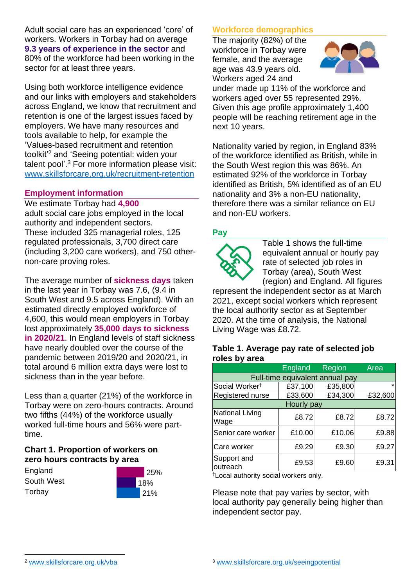Adult social care has an experienced 'core' of workers. Workers in Torbay had on average **9.3 years of experience in the sector** and 80% of the workforce had been working in the sector for at least three years.

Using both workforce intelligence evidence and our links with employers and stakeholders across England, we know that recruitment and retention is one of the largest issues faced by employers. We have many resources and tools available to help, for example the 'Values-based recruitment and retention toolkit'<sup>2</sup> and 'Seeing potential: widen your talent pool'. <sup>3</sup> For more information please visit: [www.skillsforcare.org.uk/recruitment-retention](http://www.skillsforcare.org.uk/recruitment-retention)

#### **Employment information**

We estimate Torbay had **4,900** adult social care jobs employed in the local authority and independent sectors. These included 325 managerial roles, 125 regulated professionals, 3,700 direct care (including 3,200 care workers), and 750 othernon-care proving roles.

The average number of **sickness days** taken in the last year in Torbay was 7.6, (9.4 in South West and 9.5 across England). With an estimated directly employed workforce of 4,600, this would mean employers in Torbay lost approximately **35,000 days to sickness in 2020/21**. In England levels of staff sickness have nearly doubled over the course of the pandemic between 2019/20 and 2020/21, in total around 6 million extra days were lost to sickness than in the year before.

Less than a quarter (21%) of the workforce in Torbay were on zero-hours contracts. Around two fifths (44%) of the workforce usually worked full-time hours and 56% were parttime.

### **Chart 1. Proportion of workers on zero hours contracts by area**

**England** South West **Torbay** 



### **Workforce demographics**

The majority (82%) of the workforce in Torbay were female, and the average age was 43.9 years old. Workers aged 24 and



under made up 11% of the workforce and workers aged over 55 represented 29%. Given this age profile approximately 1,400 people will be reaching retirement age in the next 10 years.

Nationality varied by region, in England 83% of the workforce identified as British, while in the South West region this was 86%. An estimated 92% of the workforce in Torbay identified as British, 5% identified as of an EU nationality and 3% a non-EU nationality, therefore there was a similar reliance on EU and non-EU workers.

### **Pay**



Table 1 shows the full-time equivalent annual or hourly pay rate of selected job roles in Torbay (area), South West (region) and England. All figures

represent the independent sector as at March 2021, except social workers which represent the local authority sector as at September 2020. At the time of analysis, the National Living Wage was £8.72.

#### **Table 1. Average pay rate of selected job roles by area**

|                                 | England | <b>Region</b> | Area    |
|---------------------------------|---------|---------------|---------|
| Full-time equivalent annual pay |         |               |         |
| Social Worker <sup>t</sup>      | £37,100 | £35,800       | $\star$ |
| Registered nurse                | £33,600 | £34,300       | £32,600 |
| Hourly pay                      |         |               |         |
| National Living<br>Wage         | £8.72   | £8.72         | £8.72   |
| Senior care worker              | £10.00  | £10.06        | £9.88   |
| Care worker                     | £9.29   | £9.30         | £9.27   |
| Support and<br>outreach         | £9.53   | £9.60         | £9.31   |

†Local authority social workers only.

Please note that pay varies by sector, with local authority pay generally being higher than independent sector pay.

[www.skillsforcare.org.uk/vba](http://www.skillsforcare.org.uk/vba)